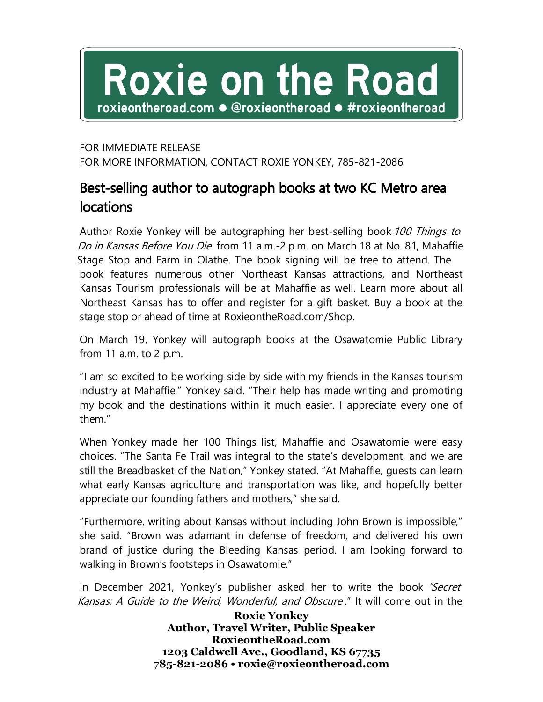## Roxie on the Road roxieontheroad.com ● @roxieontheroad ● #roxieontheroad

## FOR IMMEDIATE RELEASE FOR MORE INFORMATION, CONTACT ROXIE YONKEY, 785-821-2086

## Best-selling author to autograph books at two KC Metro area locations

Author Roxie Yonkey will be autographing her best-selling book 100 Things to Do in Kansas Before You Die from 11 a.m.-2 p.m. on March 18 at No. 81, Mahaffie Stage Stop and Farm in Olathe. The book signing will be free to attend. The book features numerous other Northeast Kansas attractions, and Northeast Kansas Tourism professionals will be at Mahaffie as well. Learn more about all Northeast Kansas has to offer and register for a gift basket. Buy a book at the stage stop or ahead of time at RoxieontheRoad.com/Shop.

On March 19, Yonkey will autograph books at the Osawatomie Public Library from 11 a.m. to 2 p.m.

"I am so excited to be working side by side with my friends in the Kansas tourism industry at Mahaffie," Yonkey said. "Their help has made writing and promoting my book and the destinations within it much easier. I appreciate every one of them."

When Yonkey made her 100 Things list, Mahaffie and Osawatomie were easy choices. "The Santa Fe Trail was integral to the state's development, and we are still the Breadbasket of the Nation," Yonkey stated. "At Mahaffie, guests can learn what early Kansas agriculture and transportation was like, and hopefully better appreciate our founding fathers and mothers," she said.

"Furthermore, writing about Kansas without including John Brown is impossible," she said. "Brown was adamant in defense of freedom, and delivered his own brand of justice during the Bleeding Kansas period. I am looking forward to walking in Brown's footsteps in Osawatomie."

In December 2021, Yonkey's publisher asked her to write the book "Secret Kansas: A Guide to the Weird, Wonderful, and Obscure ." It will come out in the

> **Roxie Yonkey Author, Travel Writer, Public Speaker RoxieontheRoad.com 1203 Caldwell Ave., Goodland, KS 67735 785-821-2086 • roxie@roxieontheroad.com**